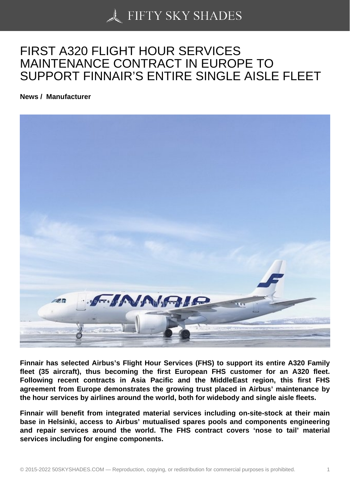## [FIRST A320 FLIGHT H](https://50skyshades.com)OUR SERVICES MAINTENANCE CONTRACT IN EUROPE TO SUPPORT FINNAIR'S ENTIRE SINGLE AISLE FLEET

News / Manufacturer

Finnair has selected Airbus's Flight Hour Services (FHS) to support its entire A320 Family fleet (35 aircraft), thus becoming the first European FHS customer for an A320 fleet. Following recent contracts in Asia Pacific and the MiddleEast region, this first FHS agreement from Europe demonstrates the growing trust placed in Airbus' maintenance by the hour services by airlines around the world, both for widebody and single aisle fleets.

Finnair will benefit from integrated material services including on-site-stock at their main base in Helsinki, access to Airbus' mutualised spares pools and components engineering and repair services around the world. The FHS contract covers 'nose to tail' material services including for engine components.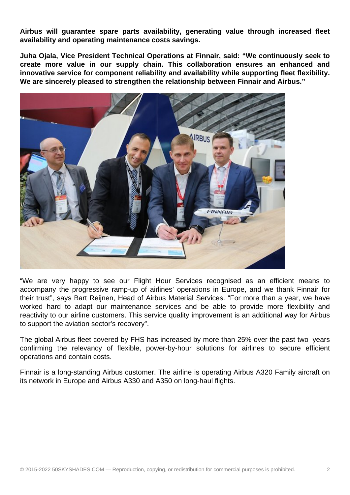**Airbus will guarantee spare parts availability, generating value through increased fleet availability and operating maintenance costs savings.**

**Juha Ojala, Vice President Technical Operations at Finnair, said: "We continuously seek to create more value in our supply chain. This collaboration ensures an enhanced and innovative service for component reliability and availability while supporting fleet flexibility. We are sincerely pleased to strengthen the relationship between Finnair and Airbus."**



"We are very happy to see our Flight Hour Services recognised as an efficient means to accompany the progressive ramp-up of airlines' operations in Europe, and we thank Finnair for their trust", says Bart Reijnen, Head of Airbus Material Services. "For more than a year, we have worked hard to adapt our maintenance services and be able to provide more flexibility and reactivity to our airline customers. This service quality improvement is an additional way for Airbus to support the aviation sector's recovery".

The global Airbus fleet covered by FHS has increased by more than 25% over the past two years confirming the relevancy of flexible, power-by-hour solutions for airlines to secure efficient operations and contain costs.

Finnair is a long-standing Airbus customer. The airline is operating Airbus A320 Family aircraft on its network in Europe and Airbus A330 and A350 on long-haul flights.